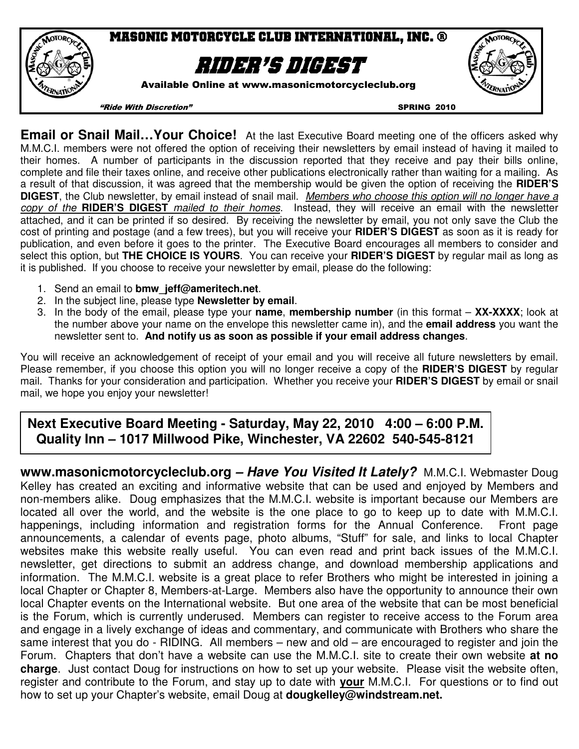

**Email or Snail Mail…Your Choice!** At the last Executive Board meeting one of the officers asked why M.M.C.I. members were not offered the option of receiving their newsletters by email instead of having it mailed to their homes. A number of participants in the discussion reported that they receive and pay their bills online, complete and file their taxes online, and receive other publications electronically rather than waiting for a mailing. As a result of that discussion, it was agreed that the membership would be given the option of receiving the **RIDER'S DIGEST**, the Club newsletter, by email instead of snail mail. Members who choose this option will no longer have a copy of the **RIDER'S DIGEST** mailed to their homes. Instead, they will receive an email with the newsletter attached, and it can be printed if so desired. By receiving the newsletter by email, you not only save the Club the cost of printing and postage (and a few trees), but you will receive your **RIDER'S DIGEST** as soon as it is ready for publication, and even before it goes to the printer. The Executive Board encourages all members to consider and select this option, but **THE CHOICE IS YOURS**. You can receive your **RIDER'S DIGEST** by regular mail as long as it is published. If you choose to receive your newsletter by email, please do the following:

- 1. Send an email to **bmw\_jeff@ameritech.net**.
- 2. In the subject line, please type **Newsletter by email**.
- 3. In the body of the email, please type your **name**, **membership number** (in this format **XX-XXXX**; look at the number above your name on the envelope this newsletter came in), and the **email address** you want the newsletter sent to. **And notify us as soon as possible if your email address changes**.

You will receive an acknowledgement of receipt of your email and you will receive all future newsletters by email. Please remember, if you choose this option you will no longer receive a copy of the **RIDER'S DIGEST** by regular mail. Thanks for your consideration and participation. Whether you receive your **RIDER'S DIGEST** by email or snail mail, we hope you enjoy your newsletter!

# **Next Executive Board Meeting - Saturday, May 22, 2010 4:00 – 6:00 P.M. Quality Inn – 1017 Millwood Pike, Winchester, VA 22602 540-545-8121**

**www.masonicmotorcycleclub.org – Have You Visited It Lately?** M.M.C.I. Webmaster Doug Kelley has created an exciting and informative website that can be used and enjoyed by Members and non-members alike. Doug emphasizes that the M.M.C.I. website is important because our Members are located all over the world, and the website is the one place to go to keep up to date with M.M.C.I. happenings, including information and registration forms for the Annual Conference. Front page announcements, a calendar of events page, photo albums, "Stuff" for sale, and links to local Chapter websites make this website really useful. You can even read and print back issues of the M.M.C.I. newsletter, get directions to submit an address change, and download membership applications and information. The M.M.C.I. website is a great place to refer Brothers who might be interested in joining a local Chapter or Chapter 8, Members-at-Large. Members also have the opportunity to announce their own local Chapter events on the International website. But one area of the website that can be most beneficial is the Forum, which is currently underused. Members can register to receive access to the Forum area and engage in a lively exchange of ideas and commentary, and communicate with Brothers who share the same interest that you do - RIDING. All members – new and old – are encouraged to register and join the Forum. Chapters that don't have a website can use the M.M.C.I. site to create their own website **at no charge**. Just contact Doug for instructions on how to set up your website. Please visit the website often, register and contribute to the Forum, and stay up to date with **your** M.M.C.I. For questions or to find out how to set up your Chapter's website, email Doug at **dougkelley@windstream.net.**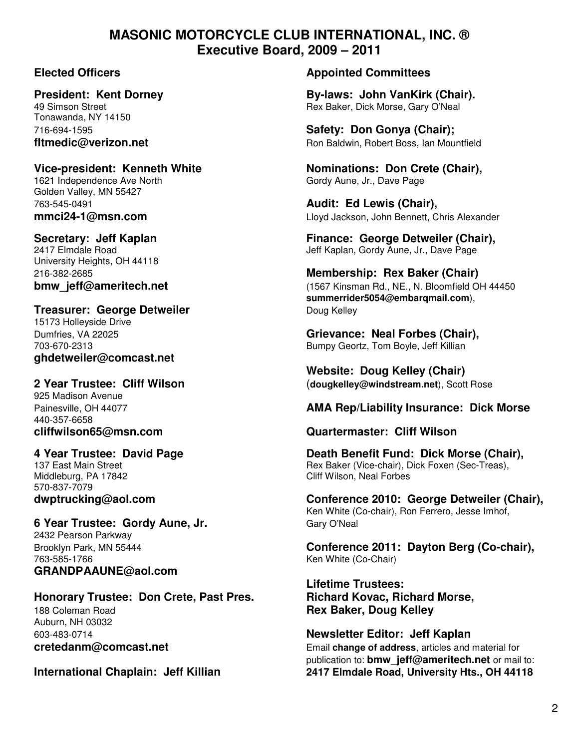# **MASONIC MOTORCYCLE CLUB INTERNATIONAL, INC. ® Executive Board, 2009 – 2011**

Tonawanda, NY 14150

# 1621 Independence Ave North Gordy Aune, Jr., Dave Page

Golden Valley, MN 55427 763-545-0491 **Audit: Ed Lewis (Chair),** 

University Heights, OH 44118

## **Treasurer: George Detweiler Communist Communist Communist Communist Communist Communist Communist Communist Communist Communist Communist Communist Communist Communist Communist Communist Communist Communist Communist C**

15173 Holleyside Drive **ghdetweiler@comcast.net** 

# 925 Madison Avenue

440-357-6658

Middleburg, PA 17842 Cliff Wilson, Neal Forbes 570-837-7079

# **6 Year Trustee: Gordy Aune, Jr.** Gary O'Neal

2432 Pearson Parkway 763-585-1766 Ken White (Co-Chair) **GRANDPAAUNE@aol.com** 

# **Honorary Trustee: Don Crete, Past Pres. Richard Kovac, Richard Morse,**  188 Coleman Road **Rex Baker, Doug Kelley** Auburn, NH 03032

### **Elected Officers Appointed Committees**

**President: Kent Dorney and State By-laws: John VanKirk (Chair).**<br>49 Simson Street **By-laws: Dick Morse. Gary O'Neal** Rex Baker, Dick Morse, Gary O'Neal

716-694-1595 **Safety: Don Gonya (Chair); fltmedic@verizon.net Ron Baldwin, Robert Boss, Ian Mountfield** 

Vice-president: Kenneth White **Nominations: Don Crete (Chair)**,

**mmci24-1@msn.com** Lloyd Jackson, John Bennett, Chris Alexander

**Secretary: Jeff Kaplan Finance: George Detweiler (Chair), Finance: George Detweiler (Chair), 2417 Elmdale Road** Jeff Kaplan, Gordy Aune, Jr., Dave Page

# 216-382-2685 **Membership: Rex Baker (Chair) bmw\_jeff@ameritech.net bmw\_jeff@ameritech.net computer 1567 Kinsman Rd., NE., N. Bloomfield OH 44450 summerrider5054@embarqmail.com**),

Dumfries, VA 22025 **Grievance: Neal Forbes (Chair),**  703-670-2313 Bumpy Geortz, Tom Boyle, Jeff Killian

 **Website: Doug Kelley (Chair) 2 Year Trustee: Cliff Wilson** (**dougkelley@windstream.net**), Scott Rose

## Painesville, OH 44077 **AMA Rep/Liability Insurance: Dick Morse**

## **cliffwilson65@msn.com Quartermaster: Cliff Wilson**

**4 Year Trustee: David Page Death Benefit Fund: Dick Morse (Chair),**  137 East Main Street **Research Reading Communist Proportional Rex Baker (Vice-chair), Dick Foxen (Sec-Treas),** 

**dwptrucking@aol.com Conference 2010: George Detweiler (Chair),**  Ken White (Co-chair), Ron Ferrero, Jesse Imhof,

Brooklyn Park, MN 55444 **Conference 2011: Dayton Berg (Co-chair),** 

**Lifetime Trustees:**

603-483-0714 **Newsletter Editor: Jeff Kaplan cretedanm@comcast.net Email change of address**, articles and material for publication to: **bmw\_jeff@ameritech.net** or mail to: **International Chaplain: Jeff Killian 2417 Elmdale Road, University Hts., OH 44118**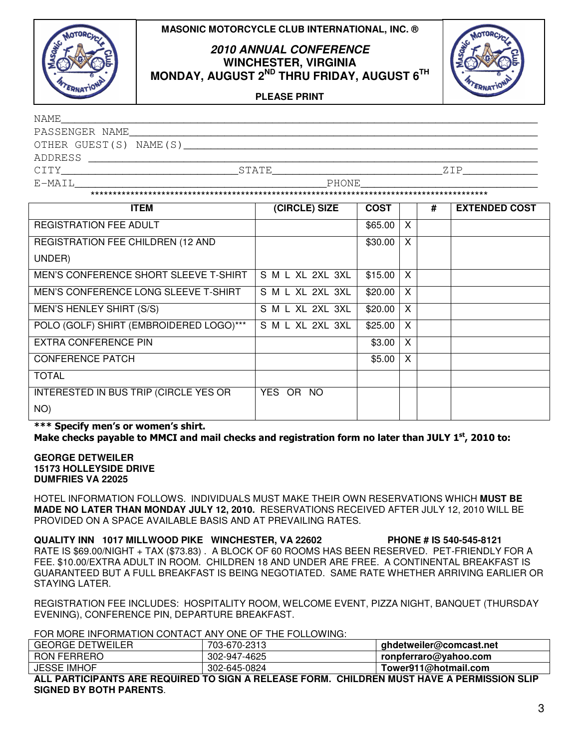



### **2010 ANNUAL CONFERENCE WINCHESTER, VIRGINIA MONDAY, AUGUST 2ND THRU FRIDAY, AUGUST 6TH**



**PLEASE PRINT**

| NAME                   |              |        |
|------------------------|--------------|--------|
| PASSENGER NAME         |              |        |
| OTHER GUEST(S) NAME(S) |              |        |
| ADDRESS                |              |        |
| CTTY                   | <b>STATE</b> | 7. T P |
| E-MAIL                 | PHONE        |        |
|                        |              |        |

| <b>ITEM</b>                             | (CIRCLE) SIZE    | <b>COST</b> |   | # | <b>EXTENDED COST</b> |
|-----------------------------------------|------------------|-------------|---|---|----------------------|
| <b>REGISTRATION FEE ADULT</b>           |                  | \$65.00     | X |   |                      |
| REGISTRATION FEE CHILDREN (12 AND       |                  | \$30.00     | X |   |                      |
| UNDER)                                  |                  |             |   |   |                      |
| MEN'S CONFERENCE SHORT SLEEVE T-SHIRT   | S M L XL 2XL 3XL | \$15.00     | X |   |                      |
| MEN'S CONFERENCE LONG SLEEVE T-SHIRT    | S M L XL 2XL 3XL | \$20.00     | X |   |                      |
| MEN'S HENLEY SHIRT (S/S)                | S M L XL 2XL 3XL | \$20.00     | X |   |                      |
| POLO (GOLF) SHIRT (EMBROIDERED LOGO)*** | S M L XL 2XL 3XL | \$25.00     | X |   |                      |
| EXTRA CONFERENCE PIN                    |                  | \$3.00      | X |   |                      |
| <b>CONFERENCE PATCH</b>                 |                  | \$5.00      | X |   |                      |
| <b>TOTAL</b>                            |                  |             |   |   |                      |
| INTERESTED IN BUS TRIP (CIRCLE YES OR   | YES OR NO        |             |   |   |                      |
| NO)                                     |                  |             |   |   |                      |

\*\*\* Specify men's or women's shirt. Make checks payable to MMCI and mail checks and registration form no later than JULY  $1^{st}$ , 2010 to:

**GEORGE DETWEILER 15173 HOLLEYSIDE DRIVE DUMFRIES VA 22025** 

HOTEL INFORMATION FOLLOWS. INDIVIDUALS MUST MAKE THEIR OWN RESERVATIONS WHICH **MUST BE MADE NO LATER THAN MONDAY JULY 12, 2010.** RESERVATIONS RECEIVED AFTER JULY 12, 2010 WILL BE PROVIDED ON A SPACE AVAILABLE BASIS AND AT PREVAILING RATES.

**QUALITY INN 1017 MILLWOOD PIKE WINCHESTER, VA 22602 PHONE # IS 540-545-8121**  RATE IS \$69.00/NIGHT + TAX (\$73.83) . A BLOCK OF 60 ROOMS HAS BEEN RESERVED. PET-FRIENDLY FOR A FEE. \$10.00/EXTRA ADULT IN ROOM. CHILDREN 18 AND UNDER ARE FREE. A CONTINENTAL BREAKFAST IS GUARANTEED BUT A FULL BREAKFAST IS BEING NEGOTIATED. SAME RATE WHETHER ARRIVING EARLIER OR STAYING LATER.

REGISTRATION FEE INCLUDES: HOSPITALITY ROOM, WELCOME EVENT, PIZZA NIGHT, BANQUET (THURSDAY EVENING), CONFERENCE PIN, DEPARTURE BREAKFAST.

FOR MORE INFORMATION CONTACT ANY ONE OF THE FOLLOWING:

| <b>GEORGE DETWEILER</b> | 703-670-2313 | ghdetweiler@comcast.net |
|-------------------------|--------------|-------------------------|
| <b>RON FERRERO</b>      | 302-947-4625 | ronpferraro@yahoo.com   |
| <b>JESSE IMHOF</b>      | 302-645-0824 | Tower911@hotmail.com    |

**ALL PARTICIPANTS ARE REQUIRED TO SIGN A RELEASE FORM. CHILDREN MUST HAVE A PERMISSION SLIP SIGNED BY BOTH PARENTS**.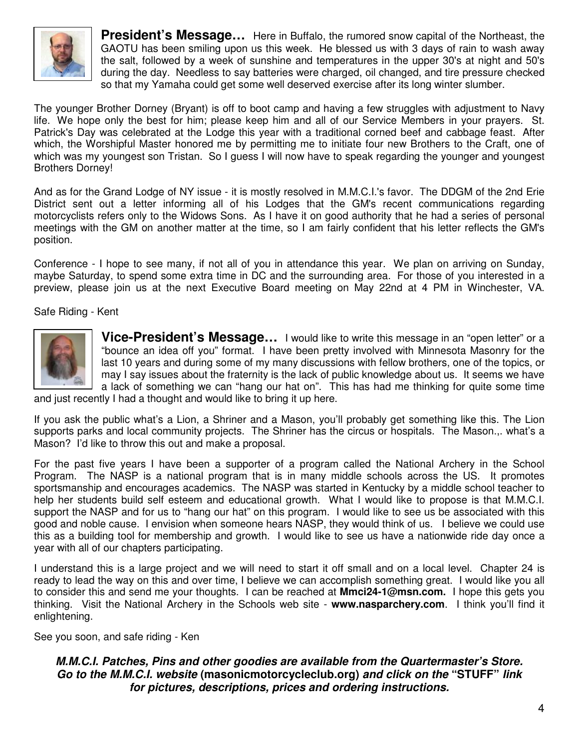

**President's Message…** Here in Buffalo, the rumored snow capital of the Northeast, the GAOTU has been smiling upon us this week. He blessed us with 3 days of rain to wash away the salt, followed by a week of sunshine and temperatures in the upper 30's at night and 50's during the day. Needless to say batteries were charged, oil changed, and tire pressure checked so that my Yamaha could get some well deserved exercise after its long winter slumber.

The younger Brother Dorney (Bryant) is off to boot camp and having a few struggles with adjustment to Navy life. We hope only the best for him; please keep him and all of our Service Members in your prayers. St. Patrick's Day was celebrated at the Lodge this year with a traditional corned beef and cabbage feast. After which, the Worshipful Master honored me by permitting me to initiate four new Brothers to the Craft, one of which was my youngest son Tristan. So I guess I will now have to speak regarding the younger and youngest Brothers Dorney!

And as for the Grand Lodge of NY issue - it is mostly resolved in M.M.C.I.'s favor. The DDGM of the 2nd Erie District sent out a letter informing all of his Lodges that the GM's recent communications regarding motorcyclists refers only to the Widows Sons. As I have it on good authority that he had a series of personal meetings with the GM on another matter at the time, so I am fairly confident that his letter reflects the GM's position.

Conference - I hope to see many, if not all of you in attendance this year. We plan on arriving on Sunday, maybe Saturday, to spend some extra time in DC and the surrounding area. For those of you interested in a preview, please join us at the next Executive Board meeting on May 22nd at 4 PM in Winchester, VA.

Safe Riding - Kent



**Vice-President's Message…** I would like to write this message in an "open letter" or a "bounce an idea off you" format. I have been pretty involved with Minnesota Masonry for the last 10 years and during some of my many discussions with fellow brothers, one of the topics, or may I say issues about the fraternity is the lack of public knowledge about us. It seems we have a lack of something we can "hang our hat on". This has had me thinking for quite some time

and just recently I had a thought and would like to bring it up here.

If you ask the public what's a Lion, a Shriner and a Mason, you'll probably get something like this. The Lion supports parks and local community projects. The Shriner has the circus or hospitals. The Mason.,. what's a Mason? I'd like to throw this out and make a proposal.

For the past five years I have been a supporter of a program called the National Archery in the School Program. The NASP is a national program that is in many middle schools across the US. It promotes sportsmanship and encourages academics. The NASP was started in Kentucky by a middle school teacher to help her students build self esteem and educational growth. What I would like to propose is that M.M.C.I. support the NASP and for us to "hang our hat" on this program. I would like to see us be associated with this good and noble cause. I envision when someone hears NASP, they would think of us. I believe we could use this as a building tool for membership and growth. I would like to see us have a nationwide ride day once a year with all of our chapters participating.

I understand this is a large project and we will need to start it off small and on a local level. Chapter 24 is ready to lead the way on this and over time, I believe we can accomplish something great. I would like you all to consider this and send me your thoughts. I can be reached at **Mmci24-1@msn.com.** I hope this gets you thinking. Visit the National Archery in the Schools web site - **www.nasparchery.com**. I think you'll find it enlightening.

See you soon, and safe riding - Ken

**M.M.C.I. Patches, Pins and other goodies are available from the Quartermaster's Store. Go to the M.M.C.I. website (masonicmotorcycleclub.org) and click on the "STUFF" link for pictures, descriptions, prices and ordering instructions.**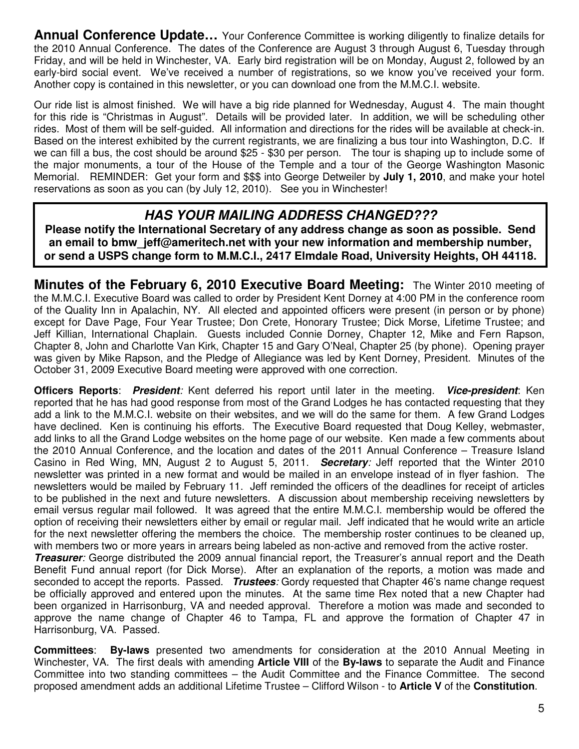**Annual Conference Update...** Your Conference Committee is working diligently to finalize details for the 2010 Annual Conference. The dates of the Conference are August 3 through August 6, Tuesday through Friday, and will be held in Winchester, VA. Early bird registration will be on Monday, August 2, followed by an early-bird social event. We've received a number of registrations, so we know you've received your form. Another copy is contained in this newsletter, or you can download one from the M.M.C.I. website.

Our ride list is almost finished. We will have a big ride planned for Wednesday, August 4. The main thought for this ride is "Christmas in August". Details will be provided later. In addition, we will be scheduling other rides. Most of them will be self-guided. All information and directions for the rides will be available at check-in. Based on the interest exhibited by the current registrants, we are finalizing a bus tour into Washington, D.C. If we can fill a bus, the cost should be around \$25 - \$30 per person. The tour is shaping up to include some of the major monuments, a tour of the House of the Temple and a tour of the George Washington Masonic Memorial. REMINDER: Get your form and \$\$\$ into George Detweiler by **July 1, 2010**, and make your hotel reservations as soon as you can (by July 12, 2010). See you in Winchester!

# **HAS YOUR MAILING ADDRESS CHANGED???**

**Please notify the International Secretary of any address change as soon as possible. Send an email to bmw\_jeff@ameritech.net with your new information and membership number, or send a USPS change form to M.M.C.I., 2417 Elmdale Road, University Heights, OH 44118.** 

**Minutes of the February 6, 2010 Executive Board Meeting:** The Winter 2010 meeting of the M.M.C.I. Executive Board was called to order by President Kent Dorney at 4:00 PM in the conference room of the Quality Inn in Apalachin, NY. All elected and appointed officers were present (in person or by phone) except for Dave Page, Four Year Trustee; Don Crete, Honorary Trustee; Dick Morse, Lifetime Trustee; and Jeff Killian, International Chaplain. Guests included Connie Dorney, Chapter 12, Mike and Fern Rapson, Chapter 8, John and Charlotte Van Kirk, Chapter 15 and Gary O'Neal, Chapter 25 (by phone). Opening prayer was given by Mike Rapson, and the Pledge of Allegiance was led by Kent Dorney, President. Minutes of the October 31, 2009 Executive Board meeting were approved with one correction.

**Officers Reports**: **President**: Kent deferred his report until later in the meeting. **Vice-president**: Ken reported that he has had good response from most of the Grand Lodges he has contacted requesting that they add a link to the M.M.C.I. website on their websites, and we will do the same for them. A few Grand Lodges have declined. Ken is continuing his efforts. The Executive Board requested that Doug Kelley, webmaster, add links to all the Grand Lodge websites on the home page of our website. Ken made a few comments about the 2010 Annual Conference, and the location and dates of the 2011 Annual Conference – Treasure Island Casino in Red Wing, MN, August 2 to August 5, 2011. **Secretary**: Jeff reported that the Winter 2010 newsletter was printed in a new format and would be mailed in an envelope instead of in flyer fashion. The newsletters would be mailed by February 11. Jeff reminded the officers of the deadlines for receipt of articles to be published in the next and future newsletters. A discussion about membership receiving newsletters by email versus regular mail followed. It was agreed that the entire M.M.C.I. membership would be offered the option of receiving their newsletters either by email or regular mail. Jeff indicated that he would write an article for the next newsletter offering the members the choice. The membership roster continues to be cleaned up, with members two or more years in arrears being labeled as non-active and removed from the active roster.

**Treasurer**: George distributed the 2009 annual financial report, the Treasurer's annual report and the Death Benefit Fund annual report (for Dick Morse). After an explanation of the reports, a motion was made and seconded to accept the reports. Passed. **Trustees**: Gordy requested that Chapter 46's name change request be officially approved and entered upon the minutes. At the same time Rex noted that a new Chapter had been organized in Harrisonburg, VA and needed approval. Therefore a motion was made and seconded to approve the name change of Chapter 46 to Tampa, FL and approve the formation of Chapter 47 in Harrisonburg, VA. Passed.

**Committees**: **By-laws** presented two amendments for consideration at the 2010 Annual Meeting in Winchester, VA. The first deals with amending **Article VIII** of the **By-laws** to separate the Audit and Finance Committee into two standing committees – the Audit Committee and the Finance Committee. The second proposed amendment adds an additional Lifetime Trustee – Clifford Wilson - to **Article V** of the **Constitution**.